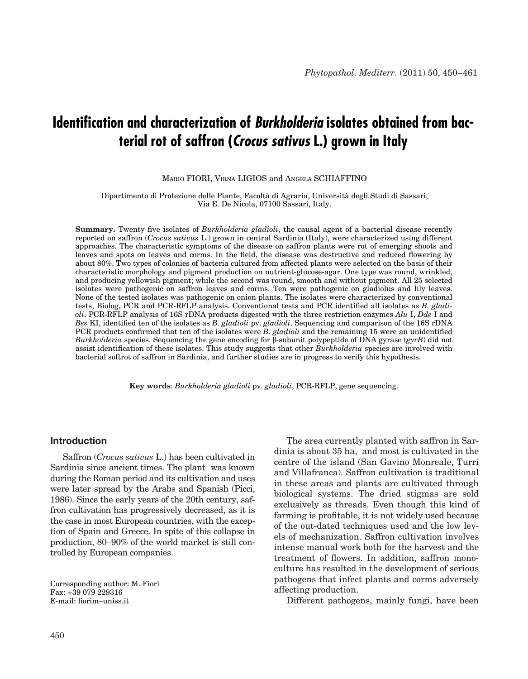# **Identification and characterization of** *Burkholderia* **isolates obtained from bacterial rot of saffron (***Crocus sativus* **L.) grown in Italy**

Mario FIORI, Virna LIGIOS and Angela SCHIAFFINO

Dipartimento di Protezione delle Piante, Facoltà di Agraria, Università degli Studi di Sassari, Via E. De Nicola, 07100 Sassari, Italy.

**Summary.** Twenty five isolates of *Burkholderia gladioli*, the causal agent of a bacterial disease recently reported on saffron (*Crocus sativus* L.) grown in central Sardinia (Italy), were characterized using different approaches. The characteristic symptoms of the disease on saffron plants were rot of emerging shoots and leaves and spots on leaves and corms. In the field, the disease was destructive and reduced flowering by about 80%. Two types of colonies of bacteria cultured from affected plants were selected on the basis of their characteristic morphology and pigment production on nutrient-glucose-agar. One type was round, wrinkled, and producing yellowish pigment; while the second was round, smooth and without pigment. All 25 selected isolates were pathogenic on saffron leaves and corms. Ten were pathogenic on gladiolus and lily leaves. None of the tested isolates was pathogenic on onion plants. The isolates were characterized by conventional tests, Biolog, PCR and PCR-RFLP analysis. Conventional tests and PCR identified all isolates as *B. gladioli*. PCR-RFLP analysis of 16S rDNA products digested with the three restriction enzymes *Alu* I, *Dde* I and *Bss* KI, identified ten of the isolates as *B. gladioli* pv. *gladioli*. Sequencing and comparison of the 16S rDNA PCR products confirmed that ten of the isolates were *B. gladioli* and the remaining 15 were an unidentified *Burkholderia* species. Sequencing the gene encoding for β-subunit polypeptide of DNA gyrase (*gyrB*) did not assist identification of these isolates. This study suggests that other *Burkholderia* species are involved with bacterial softrot of saffron in Sardinia, and further studies are in progress to verify this hypothesis.

**Key words**: *Burkholderia gladioli* pv. *gladioli*, PCR-RFLP, gene sequencing.

# **Introduction**

Saffron (*Crocus sativus* L.) has been cultivated in Sardinia since ancient times. The plant was known during the Roman period and its cultivation and uses were later spread by the Arabs and Spanish (Picci, 1986). Since the early years of the 20th century, saffron cultivation has progressively decreased, as it is the case in most European countries, with the exception of Spain and Greece. In spite of this collapse in production, 80–90% of the world market is still controlled by European companies.

The area currently planted with saffron in Sardinia is about 35 ha, and most is cultivated in the centre of the island (San Gavino Monreale, Turri and Villafranca). Saffron cultivation is traditional in these areas and plants are cultivated through biological systems. The dried stigmas are sold exclusively as threads. Even though this kind of farming is profitable, it is not widely used because of the out-dated techniques used and the low levels of mechanization. Saffron cultivation involves intense manual work both for the harvest and the treatment of flowers. In addition, saffron monoculture has resulted in the development of serious pathogens that infect plants and corms adversely affecting production.

Different pathogens, mainly fungi, have been

Corresponding author: M. Fiori Fax: +39 079 229316 E-mail: fiorim–uniss.it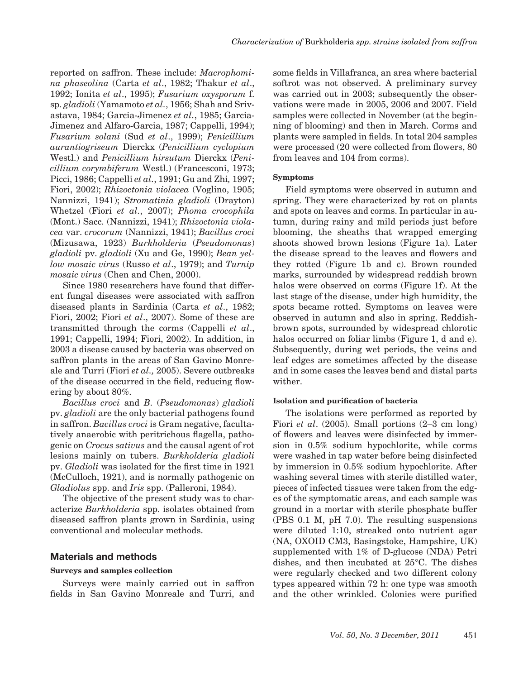reported on saffron. These include: *Macrophomina phaseolina* (Carta *et al*., 1982; Thakur *et al*., 1992; Ionita *et al*., 1995); *Fusarium oxysporum* f. sp. *gladioli* (Yamamoto *et al.*, 1956; Shah and Srivastava, 1984; Garcia-Jimenez *et al.*, 1985; Garcia-Jimenez and Alfaro-Garcia, 1987; Cappelli, 1994); *Fusarium solani* (Sud *et al*., 1999); *Penicillium aurantiogriseum* Dierckx (*Penicillium cyclopium*  Westl.) and *Penicillium hirsutum* Dierckx (*Penicillium corymbiferum* Westl.) (Francesconi, 1973; Picci, 1986; Cappelli *et al.*, 1991; Gu and Zhi*,* 1997; Fiori, 2002); *Rhizoctonia violacea* (Voglino, 1905; Nannizzi, 1941); *Stromatinia gladioli* (Drayton) Whetzel (Fiori *et al.*, 2007); *Phoma crocophila* (Mont.) Sacc. (Nannizzi, 1941); *Rhizoctonia violacea* var. *crocorum* (Nannizzi, 1941); *Bacillus croci* (Mizusawa, 1923) *Burkholderia* (*Pseudomonas*) *gladioli* pv. *gladioli* (Xu and Ge, 1990); *Bean yellow mosaic virus* (Russo *et al*., 1979); and *Turnip mosaic virus* (Chen and Chen, 2000).

Since 1980 researchers have found that different fungal diseases were associated with saffron diseased plants in Sardinia (Carta *et al*., 1982; Fiori, 2002; Fiori *et al*., 2007). Some of these are transmitted through the corms (Cappelli *et al*., 1991; Cappelli, 1994; Fiori, 2002). In addition, in 2003 a disease caused by bacteria was observed on saffron plants in the areas of San Gavino Monreale and Turri (Fiori *et al.,* 2005). Severe outbreaks of the disease occurred in the field, reducing flowering by about 80%.

*Bacillus croci* and *B.* (*Pseudomonas*) *gladioli* pv. *gladioli* are the only bacterial pathogens found in saffron. *Bacillus croci* is Gram negative, facultatively anaerobic with peritrichous flagella, pathogenic on *Crocus sativus* and the causal agent of rot lesions mainly on tubers. *Burkholderia gladioli* pv. *Gladioli* was isolated for the first time in 1921 (McCulloch, 1921), and is normally pathogenic on *Gladiolus* spp. and *Iris* spp. (Palleroni, 1984).

The objective of the present study was to characterize *Burkholderia* spp. isolates obtained from diseased saffron plants grown in Sardinia, using conventional and molecular methods.

## **Materials and methods**

## **Surveys and samples collection**

Surveys were mainly carried out in saffron fields in San Gavino Monreale and Turri, and

some fields in Villafranca, an area where bacterial softrot was not observed. A preliminary survey was carried out in 2003; subsequently the observations were made in 2005, 2006 and 2007. Field samples were collected in November (at the beginning of blooming) and then in March. Corms and plants were sampled in fields. In total 204 samples were processed (20 were collected from flowers, 80 from leaves and 104 from corms).

#### **Symptoms**

Field symptoms were observed in autumn and spring. They were characterized by rot on plants and spots on leaves and corms. In particular in autumn, during rainy and mild periods just before blooming, the sheaths that wrapped emerging shoots showed brown lesions (Figure 1a). Later the disease spread to the leaves and flowers and they rotted (Figure 1b and c). Brown rounded marks, surrounded by widespread reddish brown halos were observed on corms (Figure 1f). At the last stage of the disease, under high humidity, the spots became rotted. Symptoms on leaves were observed in autumn and also in spring. Reddishbrown spots, surrounded by widespread chlorotic halos occurred on foliar limbs (Figure 1, d and e). Subsequently, during wet periods, the veins and leaf edges are sometimes affected by the disease and in some cases the leaves bend and distal parts wither.

#### **Isolation and purification of bacteria**

The isolations were performed as reported by Fiori *et al*. (2005). Small portions (2–3 cm long) of flowers and leaves were disinfected by immersion in 0.5% sodium hypochlorite, while corms were washed in tap water before being disinfected by immersion in 0.5% sodium hypochlorite. After washing several times with sterile distilled water, pieces of infected tissues were taken from the edges of the symptomatic areas, and each sample was ground in a mortar with sterile phosphate buffer (PBS 0.1 M, pH 7.0). The resulting suspensions were diluted 1:10, streaked onto nutrient agar (NA, OXOID CM3, Basingstoke, Hampshire, UK) supplemented with 1% of D-glucose (NDA) Petri dishes, and then incubated at 25°C. The dishes were regularly checked and two different colony types appeared within 72 h: one type was smooth and the other wrinkled. Colonies were purified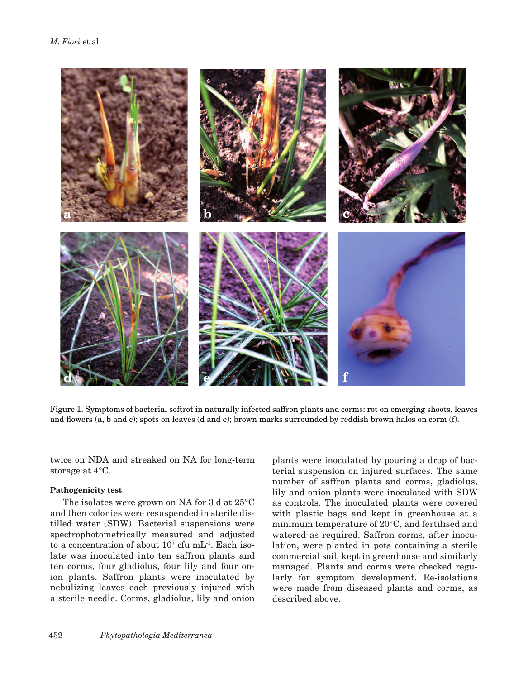

Figure 1. Symptoms of bacterial softrot in naturally infected saffron plants and corms: rot on emerging shoots, leaves and flowers (a, b and c); spots on leaves (d and e); brown marks surrounded by reddish brown halos on corm (f).

twice on NDA and streaked on NA for long-term storage at 4°C.

#### **Pathogenicity test**

The isolates were grown on NA for 3 d at 25°C and then colonies were resuspended in sterile distilled water (SDW). Bacterial suspensions were spectrophotometrically measured and adjusted to a concentration of about  $10<sup>7</sup>$  cfu mL<sup>-1</sup>. Each isolate was inoculated into ten saffron plants and ten corms, four gladiolus, four lily and four onion plants. Saffron plants were inoculated by nebulizing leaves each previously injured with a sterile needle. Corms, gladiolus, lily and onion

plants were inoculated by pouring a drop of bacterial suspension on injured surfaces. The same number of saffron plants and corms, gladiolus, lily and onion plants were inoculated with SDW as controls. The inoculated plants were covered with plastic bags and kept in greenhouse at a minimum temperature of 20°C, and fertilised and watered as required. Saffron corms, after inoculation, were planted in pots containing a sterile commercial soil, kept in greenhouse and similarly managed. Plants and corms were checked regularly for symptom development. Re-isolations were made from diseased plants and corms, as described above.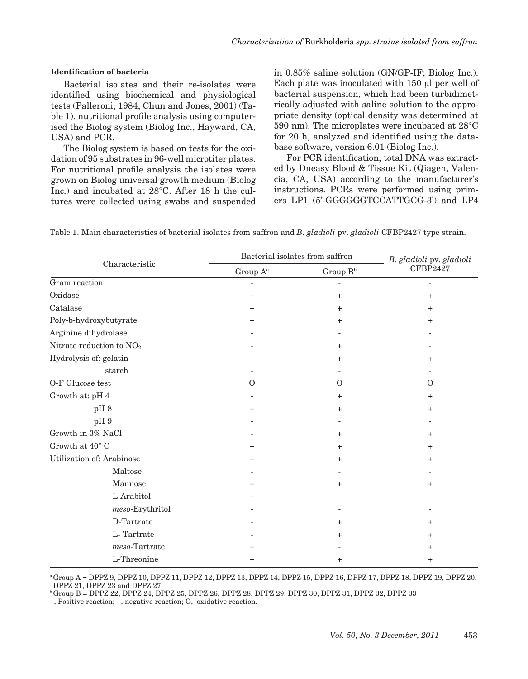#### **Identification of bacteria**

Bacterial isolates and their re-isolates were identified using biochemical and physiological tests (Palleroni, 1984; Chun and Jones, 2001) (Table 1), nutritional profile analysis using computerised the Biolog system (Biolog Inc., Hayward, CA, USA) and PCR.

The Biolog system is based on tests for the oxidation of 95 substrates in 96-well microtiter plates. For nutritional profile analysis the isolates were grown on Biolog universal growth medium (Biolog Inc.) and incubated at 28°C. After 18 h the cultures were collected using swabs and suspended in 0.85% saline solution (GN/GP-IF; Biolog Inc.). Each plate was inoculated with 150 µl per well of bacterial suspension, which had been turbidimetrically adjusted with saline solution to the appropriate density (optical density was determined at 590 nm). The microplates were incubated at 28°C for 20 h, analyzed and identified using the database software, version 6.01 (Biolog Inc.).

For PCR identification, total DNA was extracted by Dneasy Blood & Tissue Kit (Qiagen, Valencia, CA, USA) according to the manufacturer's instructions. PCRs were performed using primers LP1 (5'-GGGGGGTCCATTGCG-3') and LP4

Table 1. Main characteristics of bacterial isolates from saffron and *B. gladioli* pv. *gladioli* CFBP2427 type strain.

|                                      | Bacterial isolates from saffron | B. gladioli pv. gladioli |           |
|--------------------------------------|---------------------------------|--------------------------|-----------|
| Characteristic                       | Group A <sup>a</sup>            | Group $B^b$              | CFBP2427  |
| Gram reaction                        |                                 |                          |           |
| Oxidase                              | $^{+}$                          | $^{+}$                   | $^{+}$    |
| Catalase                             | $^{+}$                          | $^{+}$                   | $^{+}$    |
| Poly-b-hydroxybutyrate               | $\ddot{}$                       | $^{+}$                   | $^{+}$    |
| Arginine dihydrolase                 |                                 |                          |           |
| Nitrate reduction to NO <sub>2</sub> |                                 | $^{+}$                   |           |
| Hydrolysis of: gelatin               |                                 | $\pm$                    | $\pm$     |
| starch                               |                                 |                          |           |
| O-F Glucose test                     | $\Omega$                        | $\Omega$                 | O         |
| Growth at: pH 4                      |                                 | $^{+}$                   | $\ddot{}$ |
| pH8                                  | $^{+}$                          | $^{+}$                   | $\ddot{}$ |
| pH9                                  |                                 |                          |           |
| Growth in 3% NaCl                    |                                 | $^{+}$                   | $\pm$     |
| Growth at $40^{\circ}$ C             | $\pm$                           | $\pm$                    | $\ddot{}$ |
| Utilization of: Arabinose            | $\pm$                           | $^{+}$                   | $\ddot{}$ |
| Maltose                              |                                 |                          |           |
| Mannose                              | $^+$                            | $^{+}$                   | $^{+}$    |
| L-Arabitol                           | $^{+}$                          |                          |           |
| $meso$ -Erythritol                   |                                 |                          |           |
| D-Tartrate                           |                                 | $^{+}$                   | $\pm$     |
| L-Tartrate                           |                                 | $\,{}^+$                 | $^{+}$    |
| $meso-Tartrate$                      | $\pm$                           |                          | $^{+}$    |
| L-Threonine                          | $\overline{+}$                  | $^{+}$                   | $^{+}$    |

a Group A = DPPZ 9, DPPZ 10, DPPZ 11, DPPZ 12, DPPZ 13, DPPZ 14, DPPZ 15, DPPZ 16, DPPZ 17, DPPZ 18, DPPZ 19, DPPZ 20, DPPZ 21, DPPZ 23 and DPPZ 27:

b Group B = DPPZ 22, DPPZ 24, DPPZ 25, DPPZ 26, DPPZ 28, DPPZ 29, DPPZ 30, DPPZ 31, DPPZ 32, DPPZ 33

+, Positive reaction; - , negative reaction; O, oxidative reaction.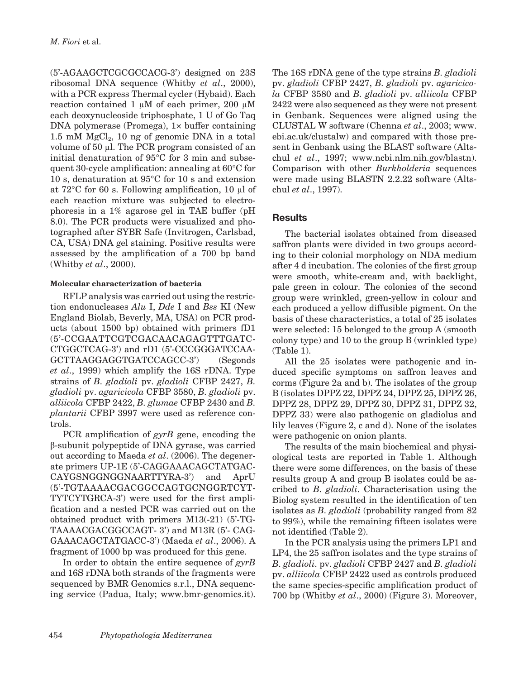(5'-AGAAGCTCGCGCCACG-3') designed on 23S ribosomal DNA sequence (Whitby *et al*., 2000), with a PCR express Thermal cycler (Hybaid). Each reaction contained 1  $\mu$ M of each primer, 200  $\mu$ M each deoxynucleoside triphosphate, 1 U of Go Taq DNA polymerase (Promega),  $1 \times$  buffer containing 1.5 mM  $MgCl<sub>2</sub>$ , 10 ng of genomic DNA in a total volume of 50 µl. The PCR program consisted of an initial denaturation of 95°C for 3 min and subsequent 30-cycle amplification: annealing at 60°C for 10 s, denaturation at 95°C for 10 s and extension at  $72^{\circ}$ C for 60 s. Following amplification, 10 µl of each reaction mixture was subjected to electrophoresis in a 1% agarose gel in TAE buffer (pH 8.0). The PCR products were visualized and photographed after SYBR Safe (Invitrogen, Carlsbad, CA, USA) DNA gel staining. Positive results were assessed by the amplification of a 700 bp band (Whitby *et al*., 2000).

# **Molecular characterization of bacteria**

RFLP analysis was carried out using the restriction endonucleases *Alu* I, *Dde* I and *Bss* KI (New England Biolab, Beverly, MA, USA) on PCR products (about 1500 bp) obtained with primers fD1 (5'-CCGAATTCGTCGACAACAGAGTTTGATC-CTGGCTCAG-3') and rD1 (5'-CCCGGGATCCAA-GCTTAAGGAGGTGATCCAGCC-3') (Segonds *et al*., 1999) which amplify the 16S rDNA. Type strains of *B. gladioli* pv. *gladioli* CFBP 2427, *B. gladioli* pv. *agaricicola* CFBP 3580, *B. gladioli* pv. *alliicola* CFBP 2422, *B. glumae* CFBP 2430 and *B. plantarii* CFBP 3997 were used as reference controls.

PCR amplification of *gyrB* gene, encoding the β-subunit polypeptide of DNA gyrase, was carried out according to Maeda *et al*. (2006). The degenerate primers UP-1E (5'-CAGGAAACAGCTATGAC-CAYGSNGGNGGNAARTTYRA-3') and AprU (5'-TGTAAAACGACGGCCAGTGCNGGRTCYT-TYTCYTGRCA-3') were used for the first amplification and a nested PCR was carried out on the obtained product with primers M13(-21) (5'-TG-TAAAACGACGGCCAGT- 3') and M13R (5'- CAG-GAAACAGCTATGACC-3') (Maeda *et al*., 2006). A fragment of 1000 bp was produced for this gene.

In order to obtain the entire sequence of *gyrB* and 16S rDNA both strands of the fragments were sequenced by BMR Genomics s.r.l., DNA sequencing service (Padua, Italy; www.bmr-genomics.it).

The 16S rDNA gene of the type strains *B. gladioli* pv. *gladioli* CFBP 2427, *B. gladioli* pv. *agaricicola* CFBP 3580 and *B. gladioli* pv. *alliicola* CFBP 2422 were also sequenced as they were not present in Genbank. Sequences were aligned using the CLUSTAL W software (Chenna *et al*., 2003; www. ebi.ac.uk/clustalw) and compared with those present in Genbank using the BLAST software (Altschul *et al*., 1997; www.ncbi.nlm.nih.gov/blastn). Comparison with other *Burkholderia* sequences were made using BLASTN 2.2.22 software (Altschul *et al*., 1997).

# **Results**

The bacterial isolates obtained from diseased saffron plants were divided in two groups according to their colonial morphology on NDA medium after 4 d incubation. The colonies of the first group were smooth, white-cream and, with backlight, pale green in colour. The colonies of the second group were wrinkled, green-yellow in colour and each produced a yellow diffusible pigment. On the basis of these characteristics, a total of 25 isolates were selected: 15 belonged to the group A (smooth colony type) and 10 to the group B (wrinkled type) (Table 1).

All the 25 isolates were pathogenic and induced specific symptoms on saffron leaves and corms (Figure 2a and b). The isolates of the group B (isolates DPPZ 22, DPPZ 24, DPPZ 25, DPPZ 26, DPPZ 28, DPPZ 29, DPPZ 30, DPPZ 31, DPPZ 32, DPPZ 33) were also pathogenic on gladiolus and lily leaves (Figure 2, c and d). None of the isolates were pathogenic on onion plants.

The results of the main biochemical and physiological tests are reported in Table 1. Although there were some differences, on the basis of these results group A and group B isolates could be ascribed to *B. gladioli*. Characterisation using the Biolog system resulted in the identification of ten isolates as *B. gladioli* (probability ranged from 82 to 99%), while the remaining fifteen isolates were not identified (Table 2).

In the PCR analysis using the primers LP1 and LP4, the 25 saffron isolates and the type strains of *B. gladioli.* pv. *gladioli* CFBP 2427 and *B. gladioli* pv. *alliicola* CFBP 2422 used as controls produced the same species-specific amplification product of 700 bp (Whitby *et al*., 2000) (Figure 3). Moreover,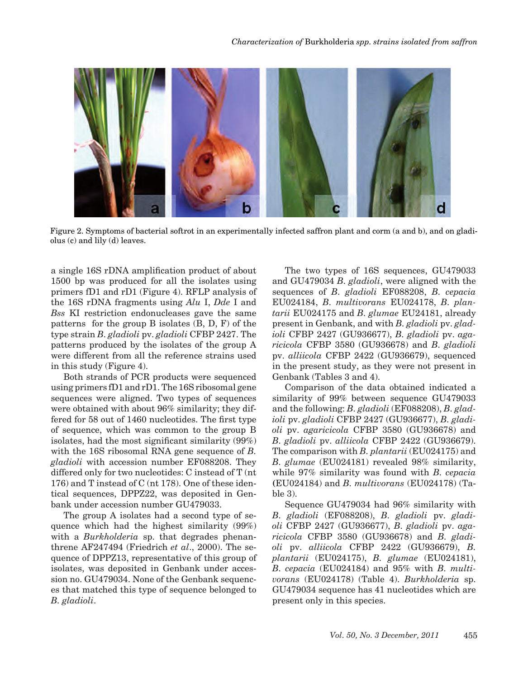

Figure 2. Symptoms of bacterial softrot in an experimentally infected saffron plant and corm (a and b), and on gladiolus (c) and lily (d) leaves.

a single 16S rDNA amplification product of about 1500 bp was produced for all the isolates using primers fD1 and rD1 (Figure 4). RFLP analysis of the 16S rDNA fragments using *Alu* I, *Dde* I and *Bss* KI restriction endonucleases gave the same patterns for the group B isolates (B, D, F) of the type strain *B. gladioli* pv. *gladioli* CFBP 2427. The patterns produced by the isolates of the group A were different from all the reference strains used in this study (Figure 4).

Both strands of PCR products were sequenced using primers fD1 and rD1. The 16S ribosomal gene sequences were aligned. Two types of sequences were obtained with about 96% similarity; they differed for 58 out of 1460 nucleotides. The first type of sequence, which was common to the group B isolates, had the most significant similarity (99%) with the 16S ribosomal RNA gene sequence of *B. gladioli* with accession number EF088208. They differed only for two nucleotides: C instead of T (nt 176) and T instead of C (nt 178). One of these identical sequences, DPPZ22, was deposited in Genbank under accession number GU479033.

The group A isolates had a second type of sequence which had the highest similarity (99%) with a *Burkholderia* sp. that degrades phenanthrene AF247494 (Friedrich *et al*., 2000). The sequence of DPPZ13, representative of this group of isolates, was deposited in Genbank under accession no. GU479034. None of the Genbank sequences that matched this type of sequence belonged to *B. gladioli*.

The two types of 16S sequences, GU479033 and GU479034 *B. gladioli*, were aligned with the sequences of *B. gladioli* EF088208, *B. cepacia* EU024184, *B. multivorans* EU024178, *B. plantarii* EU024175 and *B. glumae* EU24181, already present in Genbank, and with *B. gladioli* pv. *gladioli* CFBP 2427 (GU936677), *B. gladioli* pv. *agaricicola* CFBP 3580 (GU936678) and *B. gladioli*  pv. *alliicola* CFBP 2422 (GU936679), sequenced in the present study, as they were not present in Genbank (Tables 3 and 4).

Comparison of the data obtained indicated a similarity of 99% between sequence GU479033 and the following: *B. gladioli* (EF088208), *B. gladioli* pv. *gladioli* CFBP 2427 (GU936677), *B. gladioli* pv. *agaricicola* CFBP 3580 (GU936678) and *B. gladioli* pv. *alliicola* CFBP 2422 (GU936679). The comparison with *B. plantarii* (EU024175) and *B. glumae* (EU024181) revealed 98% similarity, while 97% similarity was found with *B. cepacia* **(**EU024184) and *B. multivorans* (EU024178) (Table 3).

Sequence GU479034 had 96% similarity with *B. gladioli* (EF088208), *B. gladioli* pv. *gladioli* CFBP 2427 (GU936677), *B. gladioli* pv. *agaricicola* CFBP 3580 (GU936678) and *B. gladioli* pv. *alliicola* CFBP 2422 (GU936679), *B. plantarii* (EU024175), *B. glumae* (EU024181), *B. cepacia* (EU024184) and 95% with *B. multivorans* (EU024178) (Table 4). *Burkholderia* sp. GU479034 sequence has 41 nucleotides which are present only in this species.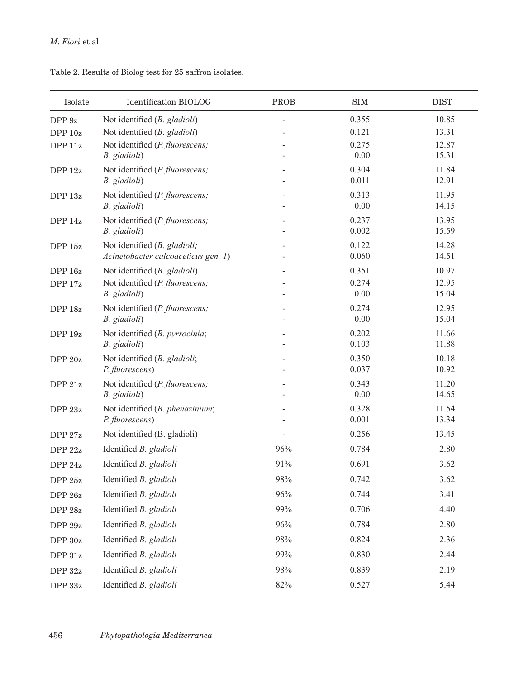| Isolate         | Identification BIOLOG                              | PROB | <b>SIM</b>     | <b>DIST</b>    |
|-----------------|----------------------------------------------------|------|----------------|----------------|
| DPP 9z          | Not identified (B. gladioli)                       |      | 0.355          | 10.85          |
| DPP 10z         | Not identified (B. gladioli)                       |      | 0.121          | 13.31          |
| DPP 11z         | Not identified (P. fluorescens;                    |      | 0.275          | 12.87          |
|                 | B. gladioli)                                       |      | 0.00           | 15.31          |
| DPP 12z         | Not identified (P. fluorescens;<br>B. gladioli)    |      | 0.304<br>0.011 | 11.84<br>12.91 |
| DPP 13z         | Not identified (P. fluorescens;<br>B. gladioli)    |      | 0.313<br>0.00  | 11.95<br>14.15 |
| DPP 14z         | Not identified (P. fluorescens;<br>B. gladioli)    |      | 0.237<br>0.002 | 13.95<br>15.59 |
| DPP 15z         | Not identified (B. gladioli;                       |      | 0.122          | 14.28          |
|                 | Acinetobacter calcoaceticus gen. 1)                |      | 0.060          | 14.51          |
| DPP 16z         | Not identified (B. gladioli)                       |      | 0.351          | 10.97          |
| DPP 17z         | Not identified (P. fluorescens;                    |      | 0.274          | 12.95          |
|                 | B. gladioli)                                       |      | 0.00           | 15.04          |
| DPP 18z         | Not identified (P. fluorescens;<br>B. gladioli)    |      | 0.274<br>0.00  | 12.95<br>15.04 |
| DPP 19z         | Not identified (B. pyrrocinia;<br>B. gladioli)     |      | 0.202<br>0.103 | 11.66<br>11.88 |
| DPP 20z         | Not identified (B. gladioli;                       |      | 0.350          | 10.18          |
|                 | P. fluorescens)                                    |      | 0.037          | 10.92          |
| DPP 21z         | Not identified (P. fluorescens;<br>B. gladioli)    |      | 0.343<br>0.00  | 11.20<br>14.65 |
| DPP $23z$       | Not identified (B. phenazinium;<br>P. fluorescens) |      | 0.328<br>0.001 | 11.54<br>13.34 |
| DPP 27z         | Not identified (B. gladioli)                       |      | 0.256          | 13.45          |
| DPP 22z         | Identified B. gladioli                             | 96%  | 0.784          | 2.80           |
| DPP 24z         | Identified B. gladioli                             | 91%  | 0.691          | 3.62           |
| DPP 25z         | Identified B. gladioli                             | 98%  | 0.742          | 3.62           |
| DPP 26z         | Identified B. gladioli                             | 96%  | 0.744          | 3.41           |
| ${\rm DPP}$ 28z | Identified B. gladioli                             | 99%  | 0.706          | 4.40           |
| ${\rm DPP}$ 29z | Identified B. gladioli                             | 96%  | 0.784          | 2.80           |
| ${\rm DPP}$ 30z | Identified B. gladioli                             | 98%  | 0.824          | 2.36           |
| ${\rm DPP~31z}$ | Identified B. gladioli                             | 99%  | 0.830          | 2.44           |
| ${\rm DPP}$ 32z | Identified B. gladioli                             | 98%  | 0.839          | 2.19           |
| ${\rm DPP}$ 33z | Identified B. gladioli                             | 82%  | 0.527          | 5.44           |

Table 2. Results of Biolog test for 25 saffron isolates.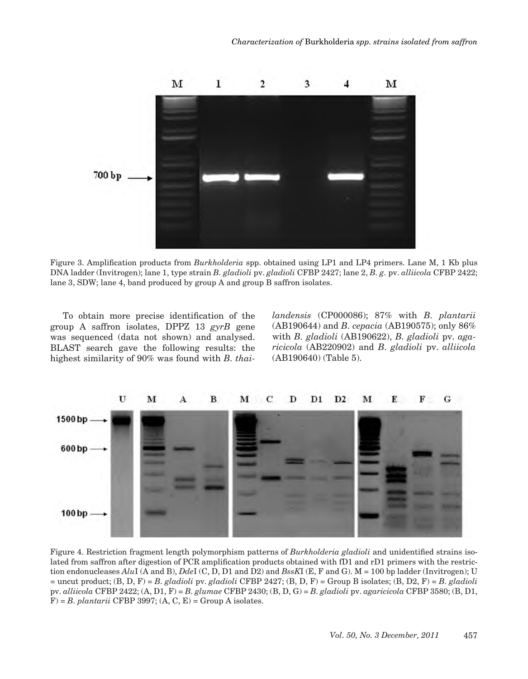

Figure 3. Amplification products from *Burkholderia* spp. obtained using LP1 and LP4 primers. Lane M, 1 Kb plus DNA ladder (Invitrogen); lane 1, type strain *B. gladioli* pv. *gladioli* CFBP 2427; lane 2, *B. g.* pv. *alliicola* CFBP 2422; lane 3, SDW; lane 4, band produced by group A and group B saffron isolates.

To obtain more precise identification of the group A saffron isolates, DPPZ 13 *gyrB* gene was sequenced (data not shown) and analysed. BLAST search gave the following results: the highest similarity of 90% was found with *B. thai-* *landensis* (CP000086); 87% with *B. plantarii* (AB190644) and *B. cepacia* (AB190575); only 86% with *B. gladioli* (AB190622), *B. gladioli* pv. *agaricicola* (AB220902) and *B. gladioli* pv. *alliicola* (AB190640) (Table 5).



Figure 4. Restriction fragment length polymorphism patterns of *Burkholderia gladioli* and unidentified strains isolated from saffron after digestion of PCR amplification products obtained with fD1 and rD1 primers with the restriction endonucleases *Alu*I (A and B), *Dde*I (C, D, D1 and D2) and *BssK*I (E, F and G). M = 100 bp ladder (Invitrogen); U = uncut product; (B, D, F) = *B. gladioli* pv. *gladioli* CFBP 2427; (B, D, F) = Group B isolates; (B, D2, F) = *B. gladioli* pv. *alliicola* CFBP 2422; (A, D1, F) = *B. glumae* CFBP 2430; (B, D, G) = *B. gladioli* pv. *agaricicola* CFBP 3580; (B, D1,  $F$ ) = *B. plantarii* CFBP 3997; (A, C, E) = Group A isolates.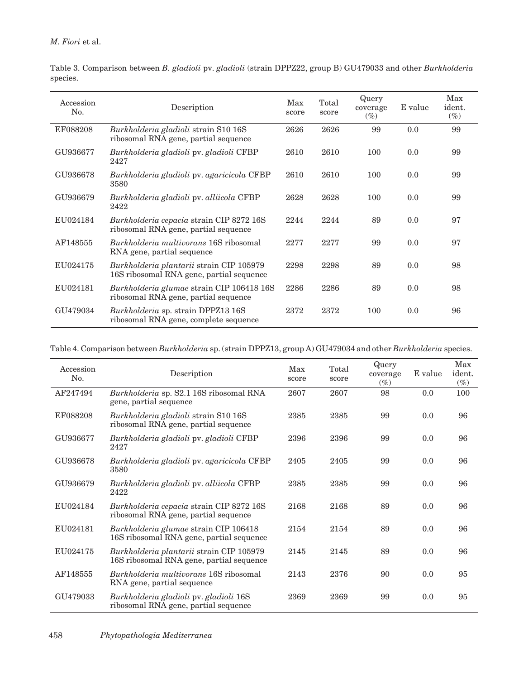| Accession<br>No. | Description                                                                          | Max<br>score | Total<br>score | Query<br>coverage<br>$(\%)$ | E value | Max<br>ident.<br>$(\%)$ |
|------------------|--------------------------------------------------------------------------------------|--------------|----------------|-----------------------------|---------|-------------------------|
| EF088208         | Burkholderia gladioli strain S10 16S<br>ribosomal RNA gene, partial sequence         | 2626         | 2626           | 99                          | 0.0     | 99                      |
| GU936677         | Burkholderia gladioli pv. gladioli CFBP<br>2427                                      | 2610         | 2610           | 100                         | 0.0     | 99                      |
| GU936678         | Burkholderia gladioli pv. agaricicola CFBP<br>3580                                   | 2610         | 2610           | 100                         | 0.0     | 99                      |
| GU936679         | Burkholderia gladioli pv. alliicola CFBP<br>2422                                     | 2628         | 2628           | 100                         | 0.0     | 99                      |
| EU024184         | Burkholderia cepacia strain CIP 8272 16S<br>ribosomal RNA gene, partial sequence     | 2244         | 2244           | 89                          | 0.0     | 97                      |
| AF148555         | <i>Burkholderia multivorans</i> 16S ribosomal<br>RNA gene, partial sequence          | 2277         | 2277           | 99                          | 0.0     | 97                      |
| EU024175         | Burkholderia plantarii strain CIP 105979<br>16S ribosomal RNA gene, partial sequence | 2298         | 2298           | 89                          | 0.0     | 98                      |
| EU024181         | Burkholderia glumae strain CIP 106418 16S<br>ribosomal RNA gene, partial sequence    | 2286         | 2286           | 89                          | 0.0     | 98                      |
| GU479034         | Burkholderia sp. strain DPPZ13 16S<br>ribosomal RNA gene, complete sequence          | 2372         | 2372           | 100                         | 0.0     | 96                      |

Table 3. Comparison between *B. gladioli* pv. *gladioli* (strain DPPZ22, group B) GU479033 and other *Burkholderia*  species.

Table 4. Comparison between *Burkholderia* sp. (strain DPPZ13, group A) GU479034 and other *Burkholderia* species.

| Accession<br>No. | Description                                                                          | Max<br>score | Total<br>score | Query<br>coverage<br>$(\%)$ | E value | Max<br>ident.<br>$(\%)$ |
|------------------|--------------------------------------------------------------------------------------|--------------|----------------|-----------------------------|---------|-------------------------|
| AF247494         | Burkholderia sp. S2.1 16S ribosomal RNA<br>gene, partial sequence                    | 2607         | 2607           | 98                          | 0.0     | 100                     |
| EF088208         | <i>Burkholderia gladioli</i> strain S10 16S<br>ribosomal RNA gene, partial sequence  | 2385         | 2385           | 99                          | 0.0     | 96                      |
| GU936677         | Burkholderia gladioli pv. gladioli CFBP<br>2427                                      | 2396         | 2396           | 99                          | 0.0     | 96                      |
| GU936678         | Burkholderia gladioli pv. agaricicola CFBP<br>3580                                   | 2405         | 2405           | 99                          | 0.0     | 96                      |
| GU936679         | Burkholderia gladioli pv. alliicola CFBP<br>2422                                     | 2385         | 2385           | 99                          | 0.0     | 96                      |
| EU024184         | Burkholderia cepacia strain CIP 8272 16S<br>ribosomal RNA gene, partial sequence     | 2168         | 2168           | 89                          | 0.0     | 96                      |
| EU024181         | Burkholderia glumae strain CIP 106418<br>16S ribosomal RNA gene, partial sequence    | 2154         | 2154           | 89                          | 0.0     | 96                      |
| EU024175         | Burkholderia plantarii strain CIP 105979<br>16S ribosomal RNA gene, partial sequence | 2145         | 2145           | 89                          | 0.0     | 96                      |
| AF148555         | <i>Burkholderia multivorans</i> 16S ribosomal<br>RNA gene, partial sequence          | 2143         | 2376           | 90                          | 0.0     | 95                      |
| GU479033         | Burkholderia gladioli pv. gladioli 16S<br>ribosomal RNA gene, partial sequence       | 2369         | 2369           | 99                          | 0.0     | 95                      |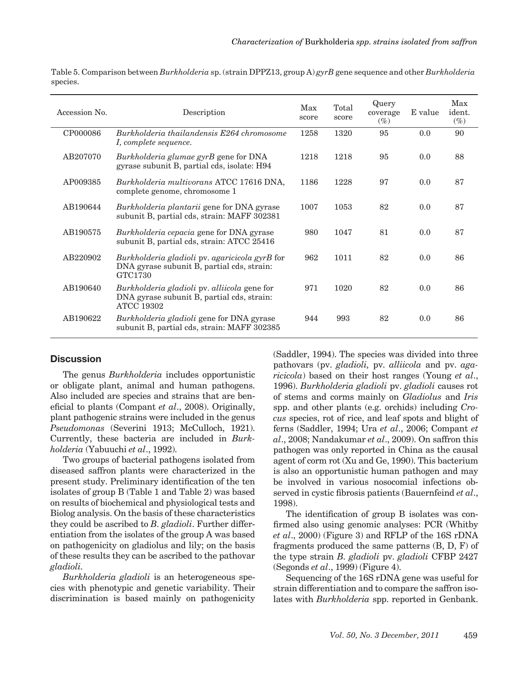Table 5. Comparison between *Burkholderia* sp. (strain DPPZ13, group A) *gyrB* gene sequence and other *Burkholderia* species.

| Accession No. | Description                                                                                                     | Max<br>score | Total<br>score | Query<br>coverage<br>$(\%)$ | E value | Max<br>ident.<br>$(\%)$ |
|---------------|-----------------------------------------------------------------------------------------------------------------|--------------|----------------|-----------------------------|---------|-------------------------|
| CP000086      | Burkholderia thailandensis E264 chromosome<br>I, complete sequence.                                             | 1258         | 1320           | 95                          | 0.0     | 90                      |
| AB207070      | Burkholderia glumae gyrB gene for DNA<br>gyrase subunit B, partial cds, isolate: H94                            | 1218         | 1218           | 95                          | 0.0     | 88                      |
| AP009385      | Burkholderia multivorans ATCC 17616 DNA,<br>complete genome, chromosome 1                                       | 1186         | 1228           | 97                          | 0.0     | 87                      |
| AB190644      | Burkholderia plantarii gene for DNA gyrase<br>subunit B, partial cds, strain: MAFF 302381                       | 1007         | 1053           | 82                          | 0.0     | 87                      |
| AB190575      | Burkholderia cepacia gene for DNA gyrase<br>subunit B, partial cds, strain: ATCC 25416                          | 980          | 1047           | 81                          | 0.0     | 87                      |
| AB220902      | Burkholderia gladioli pv. agaricicola gyrB for<br>DNA gyrase subunit B, partial cds, strain:<br>GTC1730         | 962          | 1011           | 82                          | 0.0     | 86                      |
| AB190640      | Burkholderia gladioli pv. alliicola gene for<br>DNA gyrase subunit B, partial cds, strain:<br><b>ATCC 19302</b> | 971          | 1020           | 82                          | 0.0     | 86                      |
| AB190622      | <i>Burkholderia gladioli</i> gene for DNA gyrase<br>subunit B, partial cds, strain: MAFF 302385                 | 944          | 993            | 82                          | 0.0     | 86                      |

## **Discussion**

The genus *Burkholderia* includes opportunistic or obligate plant, animal and human pathogens. Also included are species and strains that are beneficial to plants (Compant *et al*., 2008). Originally, plant pathogenic strains were included in the genus *Pseudomonas* (Severini 1913; McCulloch, 1921). Currently, these bacteria are included in *Burkholderia* (Yabuuchi *et al*., 1992).

Two groups of bacterial pathogens isolated from diseased saffron plants were characterized in the present study. Preliminary identification of the ten isolates of group B (Table 1 and Table 2) was based on results of biochemical and physiological tests and Biolog analysis. On the basis of these characteristics they could be ascribed to *B. gladioli*. Further differentiation from the isolates of the group A was based on pathogenicity on gladiolus and lily; on the basis of these results they can be ascribed to the pathovar *gladioli.*

*Burkholderia gladioli* is an heterogeneous species with phenotypic and genetic variability. Their discrimination is based mainly on pathogenicity (Saddler, 1994). The species was divided into three pathovars (pv. *gladioli,* pv. *alliicola* and pv. *agaricicola*) based on their host ranges (Young *et al*., 1996). *Burkholderia gladioli* pv. *gladioli* causes rot of stems and corms mainly on *Gladiolus* and *Iris* spp. and other plants (e.g. orchids) including *Crocus* species, rot of rice, and leaf spots and blight of ferns (Saddler, 1994; Ura *et al*., 2006; Compant *et al*., 2008; Nandakumar *et al*., 2009). On saffron this pathogen was only reported in China as the causal agent of corm rot (Xu and Ge, 1990). This bacterium is also an opportunistic human pathogen and may be involved in various nosocomial infections observed in cystic fibrosis patients (Bauernfeind *et al*., 1998).

The identification of group B isolates was confirmed also using genomic analyses: PCR (Whitby *et al*., 2000) (Figure 3) and RFLP of the 16S rDNA fragments produced the same patterns (B, D, F) of the type strain *B. gladioli* pv. *gladioli* CFBP 2427 (Segonds *et al*., 1999) (Figure 4).

Sequencing of the 16S rDNA gene was useful for strain differentiation and to compare the saffron isolates with *Burkholderia* spp. reported in Genbank.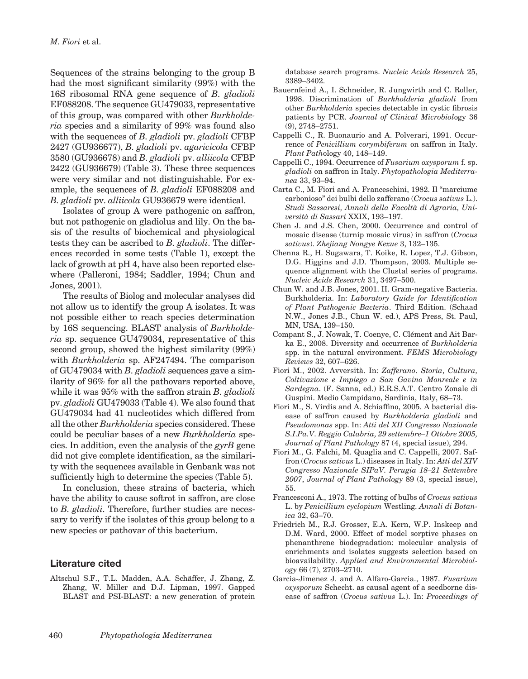Sequences of the strains belonging to the group B had the most significant similarity (99%) with the 16S ribosomal RNA gene sequence of *B. gladioli* EF088208. The sequence GU479033, representative of this group, was compared with other *Burkholderia* species and a similarity of 99% was found also with the sequences of *B. gladioli* pv. *gladioli* CFBP 2427 (GU936677), *B. gladioli* pv. *agaricicola* CFBP 3580 (GU936678) and *B. gladioli* pv. *alliicola* CFBP 2422 (GU936679) (Table 3). These three sequences were very similar and not distinguishable. For example, the sequences of *B. gladioli* EF088208 and *B. gladioli* pv. *alliicola* GU936679 were identical.

Isolates of group A were pathogenic on saffron, but not pathogenic on gladiolus and lily. On the basis of the results of biochemical and physiological tests they can be ascribed to *B. gladioli*. The differences recorded in some tests (Table 1), except the lack of growth at pH 4, have also been reported elsewhere (Palleroni, 1984; Saddler, 1994; Chun and Jones, 2001).

The results of Biolog and molecular analyses did not allow us to identify the group A isolates. It was not possible either to reach species determination by 16S sequencing. BLAST analysis of *Burkholderia* sp. sequence GU479034, representative of this second group, showed the highest similarity (99%) with *Burkholderia* sp. AF247494. The comparison of GU479034 with *B. gladioli* sequences gave a similarity of 96% for all the pathovars reported above, while it was 95% with the saffron strain *B. gladioli*  pv. *gladioli* GU479033 (Table 4). We also found that GU479034 had 41 nucleotides which differed from all the other *Burkholderia* species considered. These could be peculiar bases of a new *Burkholderia* species. In addition, even the analysis of the *gyrB* gene did not give complete identification, as the similarity with the sequences available in Genbank was not sufficiently high to determine the species (Table 5).

In conclusion, these strains of bacteria, which have the ability to cause softrot in saffron, are close to *B. gladioli.* Therefore, further studies are necessary to verify if the isolates of this group belong to a new species or pathovar of this bacterium.

# **Literature cited**

Altschul S.F., T.L. Madden, A.A. Schäffer, J. Zhang, Z. Zhang, W. Miller and D.J. Lipman, 1997. Gapped BLAST and PSI-BLAST: a new generation of protein database search programs. *Nucleic Acids Research* 25, 3389–3402.

- Bauernfeind A., I. Schneider, R. Jungwirth and C. Roller, 1998. Discrimination of *Burkholderia gladioli* from other *Burkholderia* species detectable in cystic fibrosis patients by PCR. *Journal of Clinical Microbiol*ogy 36 (9), 2748–2751.
- Cappelli C., R. Buonaurio and A. Polverari, 1991. Occurrence of *Penicillium corymbiferum* on saffron in Italy. *Plant Path*ology 40, 148–149.
- Cappelli C., 1994. Occurrence of *Fusarium oxysporum* f. sp. *gladioli* on saffron in Italy. *Phytopathologia Mediterranea* 33, 93–94.
- Carta C., M. Fiori and A. Franceschini, 1982. Il "marciume carbonioso" dei bulbi dello zafferano (*Crocus sativus* L.). *Studi Sassaresi, Annali della Facoltà di Agraria, Università di Sassari* XXIX, 193–197.
- Chen J. and J.S. Chen, 2000. Occurrence and control of mosaic disease (turnip mosaic virus) in saffron (*Crocus sativus*). *Zhejiang Nongye Kexue* 3, 132–135.
- Chenna R., H. Sugawara, T. Koike, R. Lopez, T.J. Gibson, D.G. Higgins and J.D. Thompson, 2003. Multiple sequence alignment with the Clustal series of programs. *Nucleic Acids Research* 31, 3497–500.
- Chun W. and J.B. Jones, 2001. II. Gram-negative Bacteria. Burkholderia. In: *Laboratory Guide for Identification of Plant Pathogenic Bacteria*. Third Edition. (Schaad N.W., Jones J.B., Chun W. ed.), APS Press, St. Paul, MN, USA, 139–150.
- Compant S., J. Nowak, T. Coenye, C. Clément and Ait Barka E., 2008. Diversity and occurrence of *Burkholderia* spp. in the natural environment. *FEMS Microbiology Reviews* 32, 607–626.
- Fiori M., 2002. Avversità. In: *Zafferano. Storia, Cultura, Coltivazione e Impiego a San Gavino Monreale e in Sardegna*. (F. Sanna, ed.) E.R.S.A.T. Centro Zonale di Guspini. Medio Campidano, Sardinia, Italy, 68–73.
- Fiori M., S. Virdis and A. Schiaffino, 2005. A bacterial disease of saffron caused by *Burkholderia gladioli* and *Pseudomonas* spp. In: *Atti del XII Congresso Nazionale S.I.Pa.V. Reggio Calabria, 29 settembre–1 Ottobre 2005, Journal of Plant Pathology* 87 (4, special issue), 294.
- Fiori M., G. Falchi, M. Quaglia and C. Cappelli, 2007. Saffron (*Crocus sativus* L.) diseases in Italy. In: *Atti del XIV Congresso Nazionale SIPaV. Perugia 18–21 Settembre 2007*, *Journal of Plant Pathology* 89 (3, special issue), 55.
- Francesconi A., 1973. The rotting of bulbs of *Crocus sativus* L. by *Penicillium cyclopium* Westling. *Annali di Botanica* 32, 63–70.
- Friedrich M., R.J. Grosser, E.A. Kern, W.P. Inskeep and D.M. Ward, 2000. Effect of model sorptive phases on phenanthrene biodegradation: molecular analysis of enrichments and isolates suggests selection based on bioavailability. *Applied and Environmental Microbiology* 66 (7), 2703–2710.
- Garcia-Jimenez J. and A. Alfaro-Garcia., 1987. *Fusarium oxysporum* Schecht. as causal agent of a seedborne disease of saffron (*Crocus sativus* L.). In: *Proceedings of*